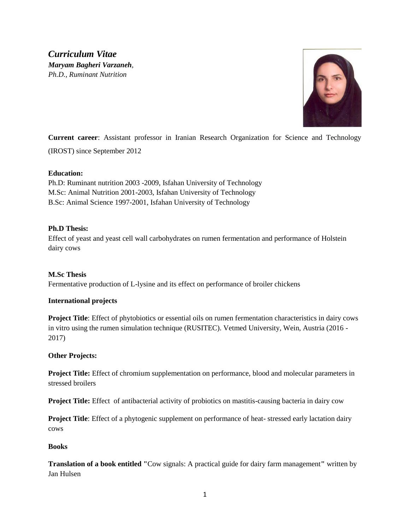*Curriculum Vitae Maryam Bagheri Varzaneh, Ph.D., Ruminant Nutrition*



**Current career**: Assistant professor in Iranian Research Organization for Science and Technology (IROST) since September 2012

## **Education:**

Ph.D: Ruminant nutrition 2003 -2009, Isfahan University of Technology M.Sc: Animal Nutrition 2001-2003, Isfahan University of Technology B.Sc: Animal Science 1997-2001, Isfahan University of Technology

## **Ph.D Thesis:**

Effect of yeast and yeast cell wall carbohydrates on rumen fermentation and performance of Holstein dairy cows

# **M.Sc Thesis**

Fermentative production of L-lysine and its effect on performance of broiler chickens

### **International projects**

**Project Title**: Effect of phytobiotics or essential oils on rumen fermentation characteristics in dairy cows in vitro using the rumen simulation technique (RUSITEC). Vetmed University, Wein, Austria (2016 - 2017)

### **Other Projects:**

**Project Title:** Effect of chromium supplementation on performance, blood and molecular parameters in stressed broilers

**Project Title:** Effect of antibacterial activity of probiotics on mastitis-causing bacteria in dairy cow

**Project Title**: Effect of a phytogenic supplement on performance of heat- stressed early lactation dairy cows

### **Books**

**Translation of a book entitled "**Cow signals: A practical guide for dairy farm management**"** written by Jan Hulsen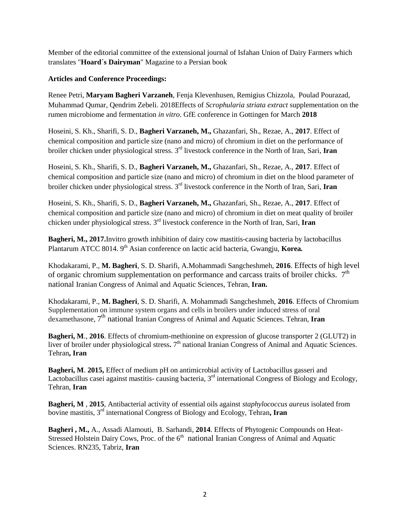Member of the editorial committee of the extensional journal of Isfahan Union of Dairy Farmers which translates "**Hoard´s Dairyman**" Magazine to a Persian book

## **Articles and Conference Proceedings:**

Renee Petri, **Maryam Bagheri Varzaneh**, Fenja Klevenhusen, Remigius Chizzola, Poulad Pourazad, Muhammad Qumar, Qendrim Zebeli. 2018Effects of *Scrophularia striata extract* supplementation on the rumen microbiome and fermentation *in vitro*. GfE conference in Gottingen for March **2018**

Hoseini, S. Kh., Sharifi, S. D., **Bagheri Varzaneh, M.,** Ghazanfari, Sh., Rezae, A., **2017**. Effect of chemical composition and particle size (nano and micro) of chromium in diet on the performance of broiler chicken under physiological stress. 3<sup>rd</sup> livestock conference in the North of Iran, Sari, Iran

Hoseini, S. Kh., Sharifi, S. D., **Bagheri Varzaneh, M.,** Ghazanfari, Sh., Rezae, A., **2017**. Effect of chemical composition and particle size (nano and micro) of chromium in diet on the blood parameter of broiler chicken under physiological stress. 3<sup>rd</sup> livestock conference in the North of Iran, Sari, Iran

Hoseini, S. Kh., Sharifi, S. D., **Bagheri Varzaneh, M.,** Ghazanfari, Sh., Rezae, A., **2017**. Effect of chemical composition and particle size (nano and micro) of chromium in diet on meat quality of broiler chicken under physiological stress. 3<sup>rd</sup> livestock conference in the North of Iran, Sari, Iran

**Bagheri, M., 2017.**Invitro growth inhibition of dairy cow mastitis-causing bacteria by lactobacillus Plantarum ATCC 8014. 9<sup>th</sup> Asian conference on lactic acid bacteria, Gwangju, Korea.

Khodakarami, P., **M. Bagheri**, S. D. Sharifi, A.Mohammadi Sangcheshmeh, **2016**. Effects of high level of organic chromium supplementation on performance and carcass traits of broiler chicks.  $7<sup>th</sup>$ national Iranian Congress of Animal and Aquatic Sciences, Tehran, **Iran.**

Khodakarami, P., **M. Bagheri**, S. D. Sharifi, A. Mohammadi Sangcheshmeh, **2016**. Effects of Chromium Supplementation on immune system organs and cells in broilers under induced stress of oral dexamethasone, 7 th national Iranian Congress of Animal and Aquatic Sciences. Tehran, **Iran**

**Bagheri, M**., **2016**. Effects of chromium-methionine on expression of glucose transporter 2 (GLUT2) in liver of broiler under physiological stress. 7<sup>th</sup> national Iranian Congress of Animal and Aquatic Sciences. Tehran**, Iran**

**Bagheri, M**. **2015,** Effect of medium pH on antimicrobial activity of Lactobacillus gasseri and Lactobacillus casei against mastitis- causing bacteria,  $3<sup>rd</sup>$  international Congress of Biology and Ecology, Tehran, **Iran**

**Bagheri, M** , **2015**, Antibacterial activity of essential oils against *staphylococcus aureus* isolated from bovine mastitis, 3rd international Congress of Biology and Ecology, Tehran**, Iran**

**Bagheri , M.,** A., Assadi Alamouti, B. Sarhandi, **2014**. Effects of Phytogenic Compounds on Heat-Stressed Holstein Dairy Cows, Proc. of the  $6<sup>th</sup>$  national Iranian Congress of Animal and Aquatic Sciences. RN235, Tabriz, **Iran**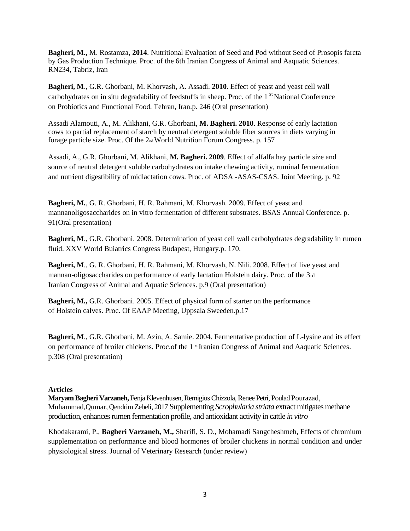**Bagheri, M.,** M. Rostamza, **2014**. Nutritional Evaluation of Seed and Pod without Seed of Prosopis farcta by Gas Production Technique. Proc. of the 6th Iranian Congress of Animal and Aaquatic Sciences. RN234, Tabriz, Iran

**Bagheri, M**., G.R. Ghorbani, M. Khorvash, A. Assadi. **2010.** Effect of yeast and yeast cell wall carbohydrates on in situ degradability of feedstuffs in sheep. Proc. of the  $1<sup>st</sup>$  National Conference on Probiotics and Functional Food. Tehran, Iran.p. 246 (Oral presentation)

Assadi Alamouti, A., M. Alikhani, G.R. Ghorbani, **M. Bagheri. 2010**. Response of early lactation cows to partial replacement of starch by neutral detergent soluble fiber sources in diets varying in forage particle size. Proc. Of the 2nd World Nutrition Forum Congress. p. 157

Assadi, A., G.R. Ghorbani, M. Alikhani, **M. Bagheri. 2009**. Effect of alfalfa hay particle size and source of neutral detergent soluble carbohydrates on intake chewing activity, ruminal fermentation and nutrient digestibility of midlactation cows. Proc. of ADSA -ASAS-CSAS. Joint Meeting. p. 92

**Bagheri, M.**, G. R. Ghorbani, H. R. Rahmani, M. Khorvash. 2009. Effect of yeast and mannanoligosaccharides on in vitro fermentation of different substrates. BSAS Annual Conference. p. 91(Oral presentation)

**Bagheri, M., G.R. Ghorbani. 2008. Determination of yeast cell wall carbohydrates degradability in rumen** fluid. XXV World Buiatrics Congress Budapest, Hungary.p. 170.

**Bagheri, M**., G. R. Ghorbani, H. R. Rahmani, M. Khorvash, N. Nili. 2008. Effect of live yeast and mannan-oligosaccharides on performance of early lactation Holstein dairy. Proc. of the 3rd Iranian Congress of Animal and Aquatic Sciences. p.9 (Oral presentation)

**Bagheri, M.,** G.R. Ghorbani. 2005. Effect of physical form of starter on the performance of Holstein calves. Proc. Of EAAP Meeting, Uppsala Sweeden.p.17

**Bagheri, M**., G.R. Ghorbani, M. Azin, A. Samie. 2004. Fermentative production of L-lysine and its effect on performance of broiler chickens. Proc.of the 1 <sup>st</sup> Iranian Congress of Animal and Aaquatic Sciences. p.308 (Oral presentation)

### **Articles**

**Maryam Bagheri Varzaneh,** Fenja Klevenhusen, Remigius Chizzola, Renee Petri, Poulad Pourazad, Muhammad,Qumar, Qendrim Zebeli, 2017 Supplementing *Scrophularia striata* extract mitigates methane production, enhances rumen fermentation profile, and antioxidant activity in cattle *in vitro*

Khodakarami, P., **Bagheri Varzaneh, M.,** Sharifi, S. D., Mohamadi Sangcheshmeh, Effects of chromium supplementation on performance and blood hormones of broiler chickens in normal condition and under physiological stress. Journal of Veterinary Research (under review)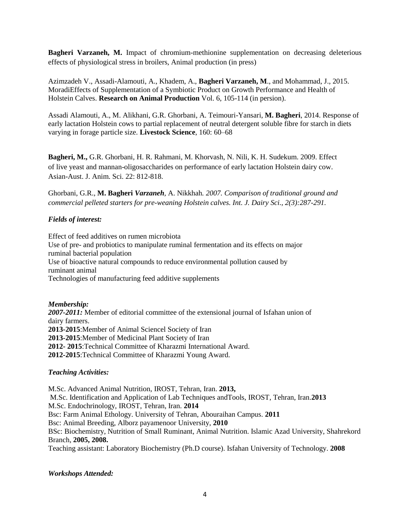**Bagheri Varzaneh, M.** Impact of chromium-methionine supplementation on decreasing deleterious effects of physiological stress in broilers, Animal production (in press)

Azimzadeh V., Assadi-Alamouti, A., Khadem, A., **Bagheri Varzaneh, M**., and Mohammad, J., 2015. MoradiEffects of Supplementation of a Symbiotic Product on Growth Performance and Health of Holstein Calves. **Research on Animal Production** Vol. 6, 105-114 (in persion).

Assadi Alamouti, A., M. Alikhani, G.R. Ghorbani, A. Teimouri-Yansari, **M. Bagheri**, 2014. Response of early lactation Holstein cows to partial replacement of neutral detergent soluble fibre for starch in diets varying in forage particle size. **Livestock Science**, 160: 60–68

**Bagheri, M.,** G.R. Ghorbani, H. R. Rahmani, M. Khorvash, N. Nili, K. H. Sudekum. 2009. Effect of live yeast and mannan-oligosaccharides on performance of early lactation Holstein dairy cow. Asian-Aust. J. Anim. Sci. 22: 812-818.

Ghorbani, G.R., **M. Bagheri** *Varzaneh,* A. Nikkhah*. 2007. Comparison of traditional ground and commercial pelleted starters for pre-weaning Holstein calves. Int. J. Dairy Sci., 2(3):287-291.*

## *Fields of interest:*

Effect of feed additives on rumen microbiota Use of pre- and probiotics to manipulate ruminal fermentation and its effects on major ruminal bacterial population Use of bioactive natural compounds to reduce environmental pollution caused by ruminant animal Technologies of manufacturing feed additive supplements

### *Membership:*

*2007-2011:* Member of editorial committee of the extensional journal of Isfahan union of dairy farmers. **2013-2015**:Member of Animal Sciencel Society of Iran **2013-2015**:Member of Medicinal Plant Society of Iran **2012- 2015**:Technical Committee of Kharazmi International Award. **2012-2015**:Technical Committee of Kharazmi Young Award.

### *Teaching Activities:*

M.Sc. Advanced Animal Nutrition, IROST, Tehran, Iran. **2013,** M.Sc. Identification and Application of Lab Techniques andTools, IROST, Tehran, Iran.**2013** M.Sc. Endochrinology, IROST, Tehran, Iran. **2014** Bsc: Farm Animal Ethology. University of Tehran, Abouraihan Campus. **2011** Bsc: Animal Breeding, Alborz payamenoor University, **2010** BSc: Biochemistry, Nutrition of Small Ruminant, Animal Nutrition. Islamic Azad University, Shahrekord Branch, **2005, 2008.** Teaching assistant: Laboratory Biochemistry (Ph.D course). Isfahan University of Technology. **2008**

### *Workshops Attended:*